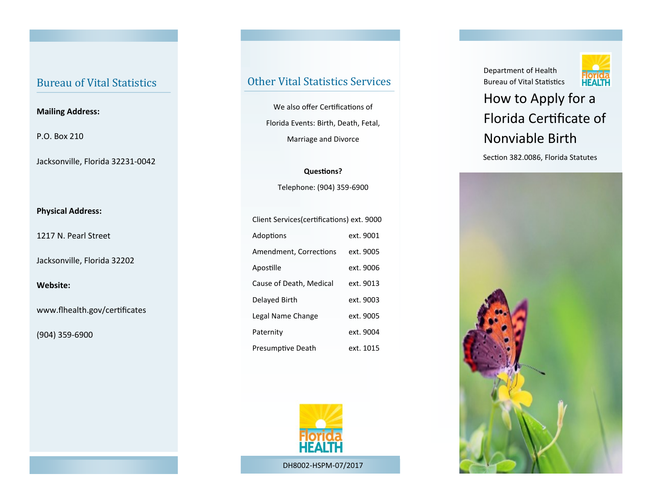### Bureau of Vital Statistics

#### **Mailing Address:**

P.O. Box 210

Jacksonville, Florida 32231-0042

### **Physical Address:**

1217 N. Pearl Street

Jacksonville, Florida 32202

**Website:** 

www.flhealth.gov/certificates

(904) 359-6900

### Other Vital Statistics Services

We also offer Certifications of Florida Events: Birth, Death, Fetal, Marriage and Divorce

**Questions?** Telephone: (904) 359-6900

| Client Services (certifications) ext. 9000 |           |
|--------------------------------------------|-----------|
| Adoptions                                  | ext. 9001 |
| Amendment, Corrections                     | ext. 9005 |
| Apostille                                  | ext. 9006 |
| Cause of Death, Medical                    | ext. 9013 |
| Delayed Birth                              | ext. 9003 |
| Legal Name Change                          | ext. 9005 |
| Paternity                                  | ext. 9004 |
| Presumptive Death                          | ext. 1015 |



Department of Health Bureau of Vital Statistics



# How to Apply for a Florida Certificate of Nonviable Birth

Section 382.0086, Florida Statutes